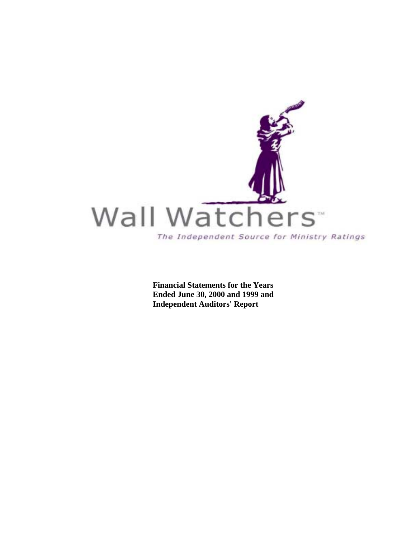

**Financial Statements for the Years Ended June 30, 2000 and 1999 and Independent Auditors' Report**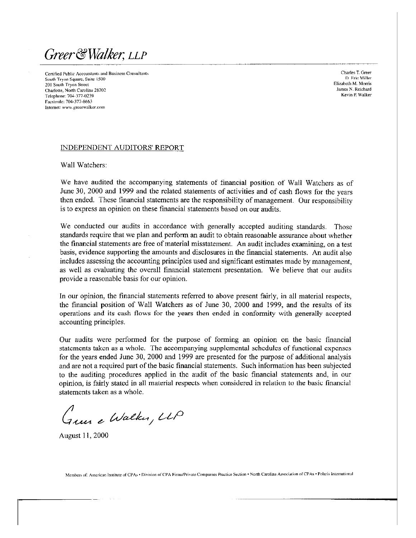Greer & Walker, LLP

Certified Public Accountants and Business Consultants South Tryon Square, Suite 1500 201 South Tryon Street Charlotte, North Carolina 28202 Telephone: 704-377-0239 Facsimile: 704-377-8663 Internet: www.greerwalker.com

Charles T. Green D. Eric Miller Elizabeth M. Morris James N. Reichard Kevin P. Walker

#### INDEPENDENT AUDITORS' REPORT

Wall Watchers:

We have audited the accompanying statements of financial position of Wall Watchers as of June 30, 2000 and 1999 and the related statements of activities and of cash flows for the years then ended. These financial statements are the responsibility of management. Our responsibility is to express an opinion on these financial statements based on our audits.

We conducted our audits in accordance with generally accepted auditing standards. Those standards require that we plan and perform an audit to obtain reasonable assurance about whether the financial statements are free of material misstatement. An audit includes examining, on a test basis, evidence supporting the amounts and disclosures in the financial statements. An audit also includes assessing the accounting principles used and significant estimates made by management. as well as evaluating the overall financial statement presentation. We believe that our audits provide a reasonable basis for our opinion.

In our opinion, the financial statements referred to above present fairly, in all material respects, the financial position of Wall Watchers as of June 30, 2000 and 1999, and the results of its operations and its cash flows for the years then ended in conformity with generally accepted accounting principles.

Our audits were performed for the purpose of forming an opinion on the basic financial statements taken as a whole. The accompanying supplemental schedules of functional expenses for the years ended June 30, 2000 and 1999 are presented for the purpose of additional analysis and are not a required part of the basic financial statements. Such information has been subjected to the auditing procedures applied in the audit of the basic financial statements and, in our opinion, is fairly stated in all material respects when considered in relation to the basic financial statements taken as a whole.

"<br>Tues e Walker, LLP

August 11, 2000

Members of: American Institute of CPAs . Division of CPA Firms/Private Companies Practice Section . North Carolina Association of CPAs . Polaris International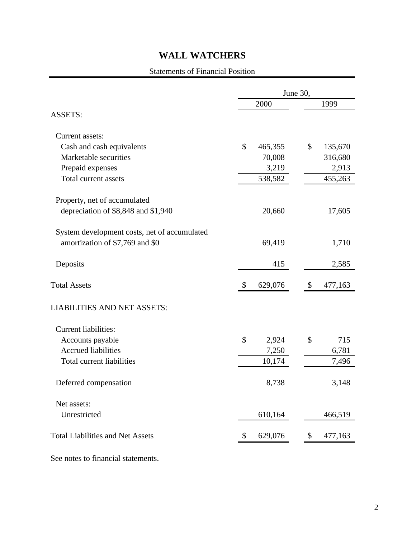#### Statements of Financial Position

|                                              | June 30, |         |        |         |  |  |  |  |
|----------------------------------------------|----------|---------|--------|---------|--|--|--|--|
|                                              |          | 2000    | 1999   |         |  |  |  |  |
| <b>ASSETS:</b>                               |          |         |        |         |  |  |  |  |
| Current assets:                              |          |         |        |         |  |  |  |  |
| Cash and cash equivalents                    | \$       | 465,355 | \$     | 135,670 |  |  |  |  |
| Marketable securities                        |          | 70,008  |        | 316,680 |  |  |  |  |
| Prepaid expenses                             |          | 3,219   |        | 2,913   |  |  |  |  |
| Total current assets                         |          | 538,582 |        | 455,263 |  |  |  |  |
| Property, net of accumulated                 |          |         |        |         |  |  |  |  |
| depreciation of \$8,848 and \$1,940          |          | 20,660  | 17,605 |         |  |  |  |  |
| System development costs, net of accumulated |          |         |        |         |  |  |  |  |
| amortization of \$7,769 and \$0              |          | 69,419  |        | 1,710   |  |  |  |  |
| Deposits                                     |          | 415     |        | 2,585   |  |  |  |  |
| <b>Total Assets</b>                          | \$       | 629,076 | \$     | 477,163 |  |  |  |  |
| <b>LIABILITIES AND NET ASSETS:</b>           |          |         |        |         |  |  |  |  |
| <b>Current liabilities:</b>                  |          |         |        |         |  |  |  |  |
| Accounts payable                             | \$       | 2,924   | \$     | 715     |  |  |  |  |
| <b>Accrued liabilities</b>                   |          | 7,250   |        | 6,781   |  |  |  |  |
| <b>Total current liabilities</b>             |          | 10,174  |        | 7,496   |  |  |  |  |
| Deferred compensation                        |          | 8,738   |        | 3,148   |  |  |  |  |
| Net assets:                                  |          |         |        |         |  |  |  |  |
| Unrestricted                                 |          | 610,164 |        | 466,519 |  |  |  |  |
| <b>Total Liabilities and Net Assets</b>      | \$       | 629,076 | \$     | 477,163 |  |  |  |  |
|                                              |          |         |        |         |  |  |  |  |

See notes to financial statements.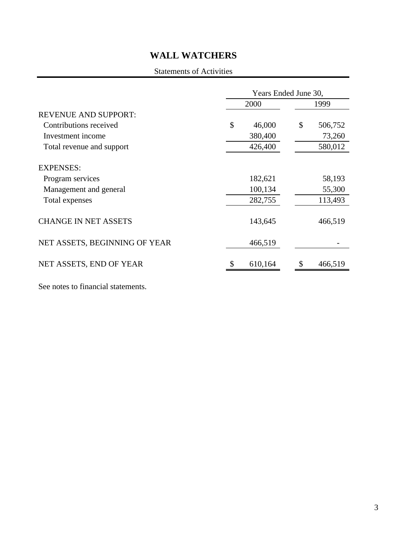### Statements of Activities

|                               | Years Ended June 30, |    |         |  |  |  |  |
|-------------------------------|----------------------|----|---------|--|--|--|--|
|                               | 2000                 |    | 1999    |  |  |  |  |
| <b>REVENUE AND SUPPORT:</b>   |                      |    |         |  |  |  |  |
| Contributions received        | \$<br>46,000         | \$ | 506,752 |  |  |  |  |
| Investment income             | 380,400              |    | 73,260  |  |  |  |  |
| Total revenue and support     | 426,400              |    | 580,012 |  |  |  |  |
| <b>EXPENSES:</b>              |                      |    |         |  |  |  |  |
| Program services              | 182,621              |    | 58,193  |  |  |  |  |
| Management and general        | 100,134              |    | 55,300  |  |  |  |  |
| Total expenses                | 282,755              |    | 113,493 |  |  |  |  |
| <b>CHANGE IN NET ASSETS</b>   | 143,645              |    | 466,519 |  |  |  |  |
| NET ASSETS, BEGINNING OF YEAR | 466,519              |    |         |  |  |  |  |
| NET ASSETS, END OF YEAR       | 610,164              |    | 466,519 |  |  |  |  |

See notes to financial statements.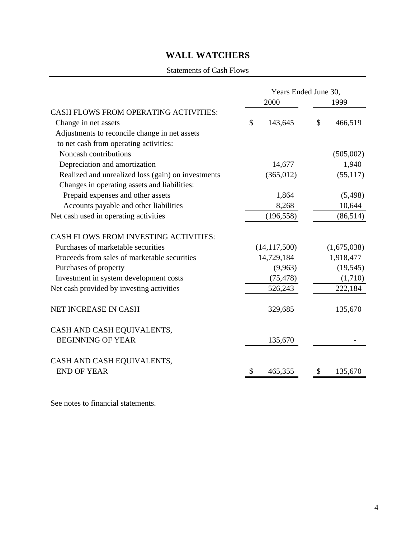#### Statements of Cash Flows

|                                                    | Years Ended June 30, |               |  |  |  |  |
|----------------------------------------------------|----------------------|---------------|--|--|--|--|
|                                                    | 2000                 | 1999          |  |  |  |  |
| CASH FLOWS FROM OPERATING ACTIVITIES:              |                      |               |  |  |  |  |
| Change in net assets                               | \$<br>143,645        | \$<br>466,519 |  |  |  |  |
| Adjustments to reconcile change in net assets      |                      |               |  |  |  |  |
| to net cash from operating activities:             |                      |               |  |  |  |  |
| Noncash contributions                              |                      | (505,002)     |  |  |  |  |
| Depreciation and amortization                      | 14,677               | 1,940         |  |  |  |  |
| Realized and unrealized loss (gain) on investments | (365, 012)           | (55, 117)     |  |  |  |  |
| Changes in operating assets and liabilities:       |                      |               |  |  |  |  |
| Prepaid expenses and other assets                  | 1,864                | (5, 498)      |  |  |  |  |
| Accounts payable and other liabilities             | 8,268                | 10,644        |  |  |  |  |
| Net cash used in operating activities              | (196, 558)           | (86, 514)     |  |  |  |  |
| <b>CASH FLOWS FROM INVESTING ACTIVITIES:</b>       |                      |               |  |  |  |  |
| Purchases of marketable securities                 | (14, 117, 500)       | (1,675,038)   |  |  |  |  |
| Proceeds from sales of marketable securities       | 14,729,184           | 1,918,477     |  |  |  |  |
| Purchases of property                              | (9,963)              | (19, 545)     |  |  |  |  |
| Investment in system development costs             | (75, 478)            | (1,710)       |  |  |  |  |
| Net cash provided by investing activities          | 526,243              | 222,184       |  |  |  |  |
| NET INCREASE IN CASH                               | 329,685              | 135,670       |  |  |  |  |
| CASH AND CASH EQUIVALENTS,                         |                      |               |  |  |  |  |
| <b>BEGINNING OF YEAR</b>                           | 135,670              |               |  |  |  |  |
| CASH AND CASH EQUIVALENTS,                         |                      |               |  |  |  |  |
| <b>END OF YEAR</b>                                 | 465,355<br>S         | 135,670<br>S. |  |  |  |  |

See notes to financial statements.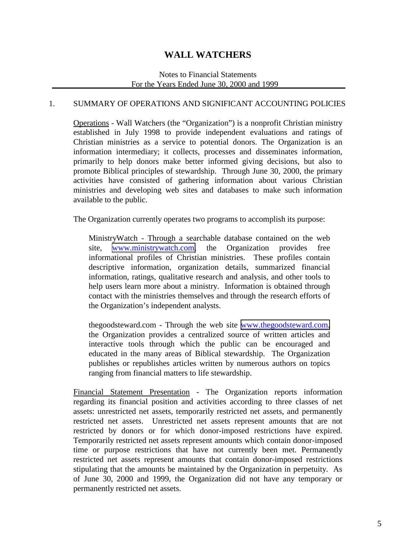#### Notes to Financial Statements For the Years Ended June 30, 2000 and 1999

#### 1. SUMMARY OF OPERATIONS AND SIGNIFICANT ACCOUNTING POLICIES

Operations - Wall Watchers (the "Organization") is a nonprofit Christian ministry established in July 1998 to provide independent evaluations and ratings of Christian ministries as a service to potential donors. The Organization is an information intermediary; it collects, processes and disseminates information, primarily to help donors make better informed giving decisions, but also to promote Biblical principles of stewardship. Through June 30, 2000, the primary activities have consisted of gathering information about various Christian ministries and developing web sites and databases to make such information available to the public.

The Organization currently operates two programs to accomplish its purpose:

MinistryWatch - Through a searchable database contained on the web site, [www.ministrywatch.com,](http://www.ministrywatch.com/) the Organization provides free informational profiles of Christian ministries. These profiles contain descriptive information, organization details, summarized financial information, ratings, qualitative research and analysis, and other tools to help users learn more about a ministry. Information is obtained through contact with the ministries themselves and through the research efforts of the Organization's independent analysts.

thegoodsteward.com - Through the web site [www.thegoodsteward.com,](http://www.thegoodstewrd.com/) the Organization provides a centralized source of written articles and interactive tools through which the public can be encouraged and educated in the many areas of Biblical stewardship. The Organization publishes or republishes articles written by numerous authors on topics ranging from financial matters to life stewardship.

Financial Statement Presentation - The Organization reports information regarding its financial position and activities according to three classes of net assets: unrestricted net assets, temporarily restricted net assets, and permanently restricted net assets. Unrestricted net assets represent amounts that are not restricted by donors or for which donor-imposed restrictions have expired. Temporarily restricted net assets represent amounts which contain donor-imposed time or purpose restrictions that have not currently been met. Permanently restricted net assets represent amounts that contain donor-imposed restrictions stipulating that the amounts be maintained by the Organization in perpetuity. As of June 30, 2000 and 1999, the Organization did not have any temporary or permanently restricted net assets.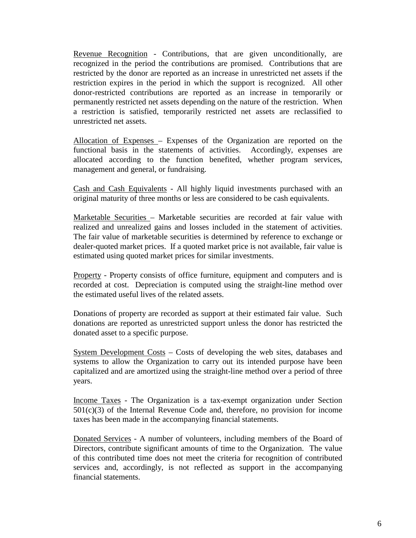Revenue Recognition - Contributions, that are given unconditionally, are recognized in the period the contributions are promised. Contributions that are restricted by the donor are reported as an increase in unrestricted net assets if the restriction expires in the period in which the support is recognized. All other donor-restricted contributions are reported as an increase in temporarily or permanently restricted net assets depending on the nature of the restriction. When a restriction is satisfied, temporarily restricted net assets are reclassified to unrestricted net assets.

Allocation of Expenses – Expenses of the Organization are reported on the functional basis in the statements of activities. Accordingly, expenses are allocated according to the function benefited, whether program services, management and general, or fundraising.

Cash and Cash Equivalents - All highly liquid investments purchased with an original maturity of three months or less are considered to be cash equivalents.

Marketable Securities – Marketable securities are recorded at fair value with realized and unrealized gains and losses included in the statement of activities. The fair value of marketable securities is determined by reference to exchange or dealer-quoted market prices. If a quoted market price is not available, fair value is estimated using quoted market prices for similar investments.

Property - Property consists of office furniture, equipment and computers and is recorded at cost. Depreciation is computed using the straight-line method over the estimated useful lives of the related assets.

Donations of property are recorded as support at their estimated fair value. Such donations are reported as unrestricted support unless the donor has restricted the donated asset to a specific purpose.

System Development Costs – Costs of developing the web sites, databases and systems to allow the Organization to carry out its intended purpose have been capitalized and are amortized using the straight-line method over a period of three years.

Income Taxes - The Organization is a tax-exempt organization under Section  $501(c)(3)$  of the Internal Revenue Code and, therefore, no provision for income taxes has been made in the accompanying financial statements.

Donated Services - A number of volunteers, including members of the Board of Directors, contribute significant amounts of time to the Organization. The value of this contributed time does not meet the criteria for recognition of contributed services and, accordingly, is not reflected as support in the accompanying financial statements.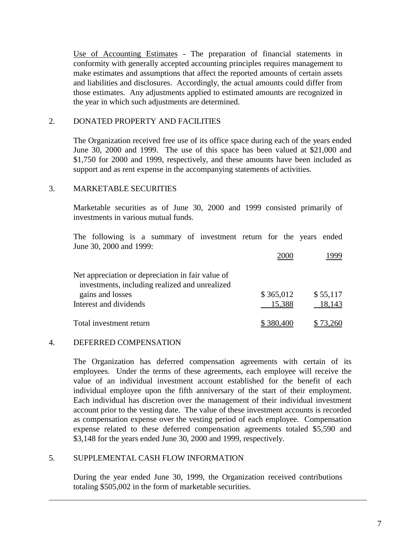Use of Accounting Estimates - The preparation of financial statements in conformity with generally accepted accounting principles requires management to make estimates and assumptions that affect the reported amounts of certain assets and liabilities and disclosures. Accordingly, the actual amounts could differ from those estimates. Any adjustments applied to estimated amounts are recognized in the year in which such adjustments are determined.

#### 2. DONATED PROPERTY AND FACILITIES

The Organization received free use of its office space during each of the years ended June 30, 2000 and 1999. The use of this space has been valued at \$21,000 and \$1,750 for 2000 and 1999, respectively, and these amounts have been included as support and as rent expense in the accompanying statements of activities.

#### 3. MARKETABLE SECURITIES

Marketable securities as of June 30, 2000 and 1999 consisted primarily of investments in various mutual funds.

The following is a summary of investment return for the years ended June 30, 2000 and 1999:

|                                                   | 2000.     |          |
|---------------------------------------------------|-----------|----------|
| Net appreciation or depreciation in fair value of |           |          |
| investments, including realized and unrealized    |           |          |
| gains and losses                                  | \$365,012 | \$55,117 |
| Interest and dividends                            | 15,388    | 18,143   |
| Total investment return                           | \$380,400 | \$73.260 |

#### 4. DEFERRED COMPENSATION

 $\overline{a}$ 

The Organization has deferred compensation agreements with certain of its employees. Under the terms of these agreements, each employee will receive the value of an individual investment account established for the benefit of each individual employee upon the fifth anniversary of the start of their employment. Each individual has discretion over the management of their individual investment account prior to the vesting date. The value of these investment accounts is recorded as compensation expense over the vesting period of each employee. Compensation expense related to these deferred compensation agreements totaled \$5,590 and \$3,148 for the years ended June 30, 2000 and 1999, respectively.

#### 5. SUPPLEMENTAL CASH FLOW INFORMATION

During the year ended June 30, 1999, the Organization received contributions totaling \$505,002 in the form of marketable securities.